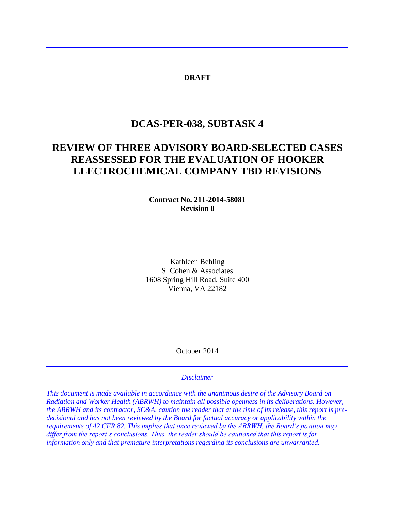### **DRAFT**

# **DCAS-PER-038, SUBTASK 4**

# **REVIEW OF THREE ADVISORY BOARD-SELECTED CASES REASSESSED FOR THE EVALUATION OF HOOKER ELECTROCHEMICAL COMPANY TBD REVISIONS**

### **Contract No. 211-2014-58081 Revision 0**

Kathleen Behling S. Cohen & Associates 1608 Spring Hill Road, Suite 400 Vienna, VA 22182

October 2014

#### *Disclaimer*

*This document is made available in accordance with the unanimous desire of the Advisory Board on Radiation and Worker Health (ABRWH) to maintain all possible openness in its deliberations. However, the ABRWH and its contractor, SC&A, caution the reader that at the time of its release, this report is predecisional and has not been reviewed by the Board for factual accuracy or applicability within the requirements of 42 CFR 82. This implies that once reviewed by the ABRWH, the Board's position may differ from the report's conclusions. Thus, the reader should be cautioned that this report is for information only and that premature interpretations regarding its conclusions are unwarranted.*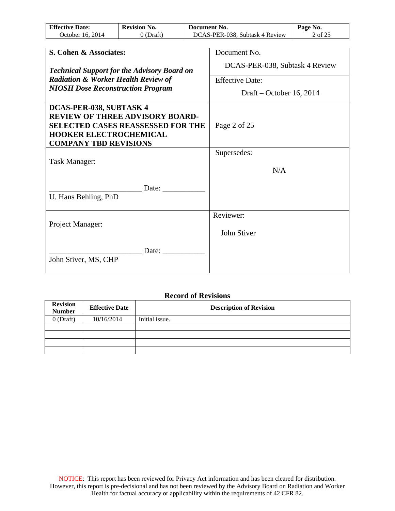| <b>Effective Date:</b> | <b>Revision No.</b> | Document No.                   | Page No. |
|------------------------|---------------------|--------------------------------|----------|
| October 16, 2014       | ) (Draft)           | DCAS-PER-038, Subtask 4 Review | 2 of 25  |

| S. Cohen & Associates:                                                                                                                                                         | Document No.                   |
|--------------------------------------------------------------------------------------------------------------------------------------------------------------------------------|--------------------------------|
| <b>Technical Support for the Advisory Board on</b>                                                                                                                             | DCAS-PER-038, Subtask 4 Review |
| <b>Radiation &amp; Worker Health Review of</b>                                                                                                                                 | <b>Effective Date:</b>         |
| <b>NIOSH Dose Reconstruction Program</b>                                                                                                                                       | Draft – October 16, 2014       |
| DCAS-PER-038, SUBTASK 4<br><b>REVIEW OF THREE ADVISORY BOARD-</b><br><b>SELECTED CASES REASSESSED FOR THE</b><br><b>HOOKER ELECTROCHEMICAL</b><br><b>COMPANY TBD REVISIONS</b> | Page 2 of 25                   |
|                                                                                                                                                                                | Supersedes:                    |
| Task Manager:                                                                                                                                                                  | N/A                            |
| Date:                                                                                                                                                                          |                                |
| U. Hans Behling, PhD                                                                                                                                                           |                                |
|                                                                                                                                                                                | Reviewer:                      |
| Project Manager:                                                                                                                                                               | John Stiver                    |
| Date:<br>John Stiver, MS, CHP                                                                                                                                                  |                                |

### **Record of Revisions**

| <b>Revision</b><br><b>Number</b> | <b>Effective Date</b> | <b>Description of Revision</b> |
|----------------------------------|-----------------------|--------------------------------|
| $0$ (Draft)                      | 10/16/2014            | Initial issue.                 |
|                                  |                       |                                |
|                                  |                       |                                |
|                                  |                       |                                |
|                                  |                       |                                |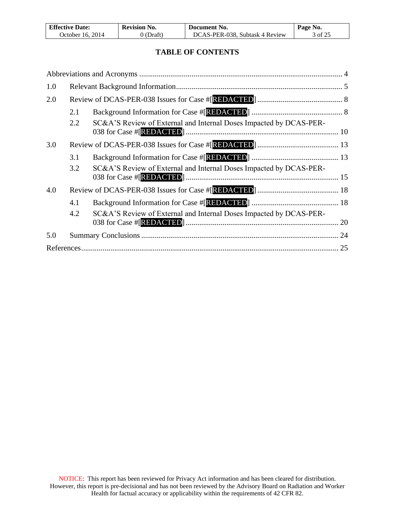| <b>Effective Date:</b> | <b>Revision No.</b> | Document No.                   | Page No. |
|------------------------|---------------------|--------------------------------|----------|
| October 16, 2014       | J (Draft)           | DCAS-PER-038, Subtask 4 Review | 3 of 25  |

 $\mathsf{l}$ 

## **TABLE OF CONTENTS**

| 1.0 |     |                                                                    |    |
|-----|-----|--------------------------------------------------------------------|----|
| 2.0 |     |                                                                    |    |
|     | 2.1 |                                                                    |    |
|     | 2.2 | SC&A'S Review of External and Internal Doses Impacted by DCAS-PER- |    |
| 3.0 |     |                                                                    |    |
|     | 3.1 |                                                                    |    |
|     | 3.2 | SC&A'S Review of External and Internal Doses Impacted by DCAS-PER- |    |
| 4.0 |     |                                                                    |    |
|     | 4.1 |                                                                    |    |
|     | 4.2 | SC&A'S Review of External and Internal Doses Impacted by DCAS-PER- | 20 |
| 5.0 |     |                                                                    |    |
|     |     |                                                                    |    |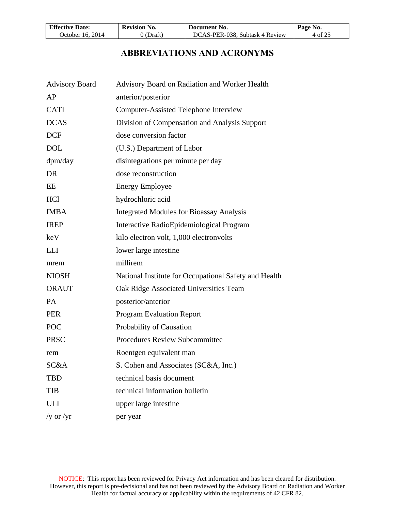| <b>Effective Date:</b> | <b>Revision No.</b> | Document No.                   | Page No. |
|------------------------|---------------------|--------------------------------|----------|
| October 16. 2014       | 0 (Draft)           | DCAS-PER-038, Subtask 4 Review | 4 of 25  |

# **ABBREVIATIONS AND ACRONYMS**

| <b>Advisory Board</b> | Advisory Board on Radiation and Worker Health         |
|-----------------------|-------------------------------------------------------|
| AP                    | anterior/posterior                                    |
| <b>CATI</b>           | <b>Computer-Assisted Telephone Interview</b>          |
| <b>DCAS</b>           | Division of Compensation and Analysis Support         |
| <b>DCF</b>            | dose conversion factor                                |
| <b>DOL</b>            | (U.S.) Department of Labor                            |
| dpm/day               | disintegrations per minute per day                    |
| <b>DR</b>             | dose reconstruction                                   |
| EE                    | <b>Energy Employee</b>                                |
| <b>HCl</b>            | hydrochloric acid                                     |
| <b>IMBA</b>           | <b>Integrated Modules for Bioassay Analysis</b>       |
| <b>IREP</b>           | Interactive RadioEpidemiological Program              |
| keV                   | kilo electron volt, 1,000 electron volts              |
| <b>LLI</b>            | lower large intestine                                 |
| mrem                  | millirem                                              |
| <b>NIOSH</b>          | National Institute for Occupational Safety and Health |
| <b>ORAUT</b>          | Oak Ridge Associated Universities Team                |
| <b>PA</b>             | posterior/anterior                                    |
| <b>PER</b>            | <b>Program Evaluation Report</b>                      |
| <b>POC</b>            | Probability of Causation                              |
| <b>PRSC</b>           | <b>Procedures Review Subcommittee</b>                 |
| rem                   | Roentgen equivalent man                               |
| SC&A                  | S. Cohen and Associates (SC&A, Inc.)                  |
| <b>TBD</b>            | technical basis document                              |
| <b>TIB</b>            | technical information bulletin                        |
| <b>ULI</b>            | upper large intestine                                 |
| /y or /yr             | per year                                              |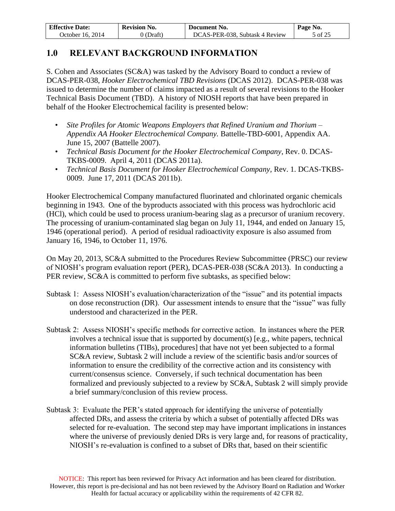| <b>Effective Date:</b> | <b>Revision No.</b> | Document No.                   | Page No. |
|------------------------|---------------------|--------------------------------|----------|
| October 16, 2014       | 0 (Draft)           | DCAS-PER-038, Subtask 4 Review | 5 of 25  |

# **1.0 RELEVANT BACKGROUND INFORMATION**

S. Cohen and Associates (SC&A) was tasked by the Advisory Board to conduct a review of DCAS-PER-038, *Hooker Electrochemical TBD Revisions* (DCAS 2012). DCAS-PER-038 was issued to determine the number of claims impacted as a result of several revisions to the Hooker Technical Basis Document (TBD). A history of NIOSH reports that have been prepared in behalf of the Hooker Electrochemical facility is presented below:

- *Site Profiles for Atomic Weapons Employers that Refined Uranium and Thorium – Appendix AA Hooker Electrochemical Company.* Battelle-TBD-6001, Appendix AA. June 15, 2007 (Battelle 2007).
- *Technical Basis Document for the Hooker Electrochemical Company*, Rev. 0. DCAS-TKBS-0009. April 4, 2011 (DCAS 2011a).
- *Technical Basis Document for Hooker Electrochemical Company,* Rev. 1. DCAS-TKBS-0009. June 17, 2011 (DCAS 2011b).

Hooker Electrochemical Company manufactured fluorinated and chlorinated organic chemicals beginning in 1943. One of the byproducts associated with this process was hydrochloric acid (HCl), which could be used to process uranium-bearing slag as a precursor of uranium recovery. The processing of uranium-contaminated slag began on July 11, 1944, and ended on January 15, 1946 (operational period). A period of residual radioactivity exposure is also assumed from January 16, 1946, to October 11, 1976.

On May 20, 2013, SC&A submitted to the Procedures Review Subcommittee (PRSC) our review of NIOSH's program evaluation report (PER), DCAS-PER-038 (SC&A 2013). In conducting a PER review, SC&A is committed to perform five subtasks, as specified below:

- Subtask 1: Assess NIOSH's evaluation/characterization of the "issue" and its potential impacts on dose reconstruction (DR). Our assessment intends to ensure that the "issue" was fully understood and characterized in the PER.
- Subtask 2: Assess NIOSH's specific methods for corrective action. In instances where the PER involves a technical issue that is supported by document(s) [e.g., white papers, technical information bulletins (TIBs), procedures] that have not yet been subjected to a formal SC&A review, Subtask 2 will include a review of the scientific basis and/or sources of information to ensure the credibility of the corrective action and its consistency with current/consensus science. Conversely, if such technical documentation has been formalized and previously subjected to a review by SC&A, Subtask 2 will simply provide a brief summary/conclusion of this review process.
- Subtask 3: Evaluate the PER's stated approach for identifying the universe of potentially affected DRs, and assess the criteria by which a subset of potentially affected DRs was selected for re-evaluation. The second step may have important implications in instances where the universe of previously denied DRs is very large and, for reasons of practicality, NIOSH's re-evaluation is confined to a subset of DRs that, based on their scientific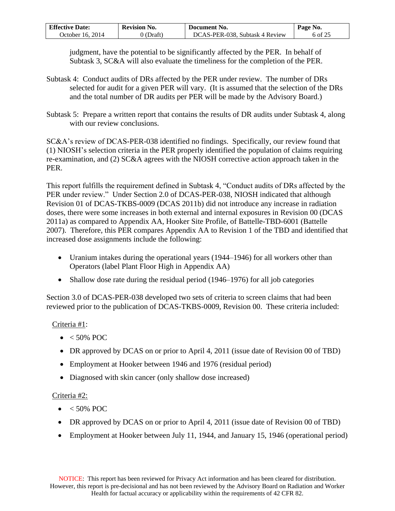| <b>Effective Date:</b> | <b>Revision No.</b> | Document No.                   | Page No. |
|------------------------|---------------------|--------------------------------|----------|
| October 16. 2014       | ) (Draft)           | DCAS-PER-038, Subtask 4 Review | 6 of 25  |

judgment, have the potential to be significantly affected by the PER. In behalf of Subtask 3, SC&A will also evaluate the timeliness for the completion of the PER.

- Subtask 4: Conduct audits of DRs affected by the PER under review. The number of DRs selected for audit for a given PER will vary. (It is assumed that the selection of the DRs and the total number of DR audits per PER will be made by the Advisory Board.)
- Subtask 5: Prepare a written report that contains the results of DR audits under Subtask 4, along with our review conclusions.

SC&A's review of DCAS-PER-038 identified no findings. Specifically, our review found that (1) NIOSH's selection criteria in the PER properly identified the population of claims requiring re-examination, and (2) SC&A agrees with the NIOSH corrective action approach taken in the PER.

This report fulfills the requirement defined in Subtask 4, "Conduct audits of DRs affected by the PER under review." Under Section 2.0 of DCAS-PER-038, NIOSH indicated that although Revision 01 of DCAS-TKBS-0009 (DCAS 2011b) did not introduce any increase in radiation doses, there were some increases in both external and internal exposures in Revision 00 (DCAS 2011a) as compared to Appendix AA, Hooker Site Profile, of Battelle-TBD-6001 (Battelle 2007). Therefore, this PER compares Appendix AA to Revision 1 of the TBD and identified that increased dose assignments include the following:

- Uranium intakes during the operational years (1944–1946) for all workers other than Operators (label Plant Floor High in Appendix AA)
- Shallow dose rate during the residual period (1946–1976) for all job categories

Section 3.0 of DCAS-PER-038 developed two sets of criteria to screen claims that had been reviewed prior to the publication of DCAS-TKBS-0009, Revision 00. These criteria included:

# Criteria #1:

- $\bullet$  < 50% POC
- DR approved by DCAS on or prior to April 4, 2011 (issue date of Revision 00 of TBD)
- Employment at Hooker between 1946 and 1976 (residual period)
- Diagnosed with skin cancer (only shallow dose increased)

### Criteria #2:

- $\bullet$  < 50% POC
- DR approved by DCAS on or prior to April 4, 2011 (issue date of Revision 00 of TBD)
- Employment at Hooker between July 11, 1944, and January 15, 1946 (operational period)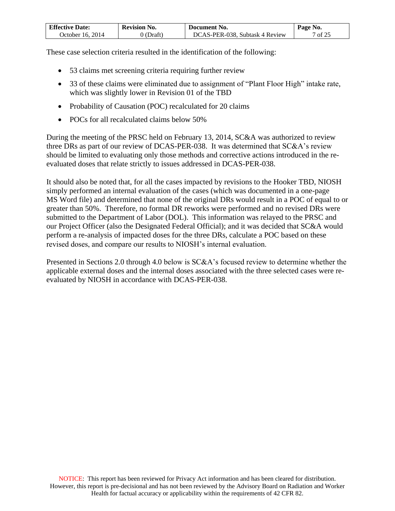| <b>Effective Date:</b> | <b>Revision No.</b>   | Document No.                   | Page No. |
|------------------------|-----------------------|--------------------------------|----------|
| October 16. 2014       | $\mathcal{O}$ (Draft) | DCAS-PER-038, Subtask 4 Review | of $25$  |

These case selection criteria resulted in the identification of the following:

- 53 claims met screening criteria requiring further review
- 33 of these claims were eliminated due to assignment of "Plant Floor High" intake rate, which was slightly lower in Revision 01 of the TBD
- Probability of Causation (POC) recalculated for 20 claims
- POCs for all recalculated claims below 50%

During the meeting of the PRSC held on February 13, 2014, SC&A was authorized to review three DRs as part of our review of DCAS-PER-038. It was determined that SC&A's review should be limited to evaluating only those methods and corrective actions introduced in the reevaluated doses that relate strictly to issues addressed in DCAS-PER-038.

It should also be noted that, for all the cases impacted by revisions to the Hooker TBD, NIOSH simply performed an internal evaluation of the cases (which was documented in a one-page MS Word file) and determined that none of the original DRs would result in a POC of equal to or greater than 50%. Therefore, no formal DR reworks were performed and no revised DRs were submitted to the Department of Labor (DOL). This information was relayed to the PRSC and our Project Officer (also the Designated Federal Official); and it was decided that SC&A would perform a re-analysis of impacted doses for the three DRs, calculate a POC based on these revised doses, and compare our results to NIOSH's internal evaluation.

Presented in Sections 2.0 through 4.0 below is SC&A's focused review to determine whether the applicable external doses and the internal doses associated with the three selected cases were reevaluated by NIOSH in accordance with DCAS-PER-038.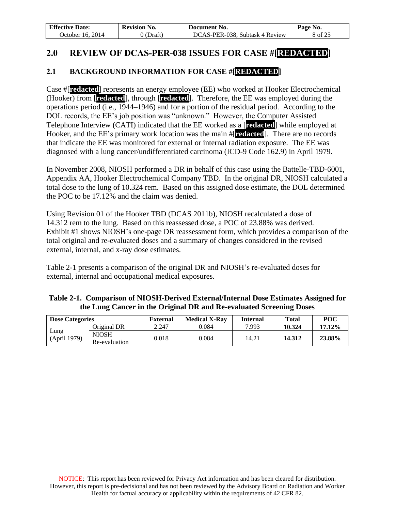| <b>Effective Date:</b> | <b>Revision No.</b> | - Document No.                 | Page No. |
|------------------------|---------------------|--------------------------------|----------|
| October 16. 2014       | 0 (Draft)           | DCAS-PER-038, Subtask 4 Review | 8 of 25  |

# **2.0 REVIEW OF DCAS-PER-038 ISSUES FOR CASE #[REDACTED]**

# **2.1 BACKGROUND INFORMATION FOR CASE #[REDACTED]**

Case #[**redacted**] represents an energy employee (EE) who worked at Hooker Electrochemical (Hooker) from [**redacted**], through [**redacted**]. Therefore, the EE was employed during the operations period (i.e., 1944–1946) and for a portion of the residual period. According to the DOL records, the EE's job position was "unknown." However, the Computer Assisted Telephone Interview (CATI) indicated that the EE worked as a [**redacted**] while employed at Hooker, and the EE's primary work location was the main #[**redacted**]. There are no records that indicate the EE was monitored for external or internal radiation exposure. The EE was diagnosed with a lung cancer/undifferentiated carcinoma (ICD-9 Code 162.9) in April 1979.

In November 2008, NIOSH performed a DR in behalf of this case using the Battelle-TBD-6001, Appendix AA, Hooker Electrochemical Company TBD. In the original DR, NIOSH calculated a total dose to the lung of 10.324 rem. Based on this assigned dose estimate, the DOL determined the POC to be 17.12% and the claim was denied.

Using Revision 01 of the Hooker TBD (DCAS 2011b), NIOSH recalculated a dose of 14.312 rem to the lung. Based on this reassessed dose, a POC of 23.88% was derived. Exhibit #1 shows NIOSH's one-page DR reassessment form, which provides a comparison of the total original and re-evaluated doses and a summary of changes considered in the revised external, internal, and x-ray dose estimates.

Table 2-1 presents a comparison of the original DR and NIOSH's re-evaluated doses for external, internal and occupational medical exposures.

| Table 2-1. Comparison of NIOSH-Derived External/Internal Dose Estimates Assigned for                                    |  |  |  |  |  |  |
|-------------------------------------------------------------------------------------------------------------------------|--|--|--|--|--|--|
| the Lung Cancer in the Original DR and Re-evaluated Screening Doses                                                     |  |  |  |  |  |  |
| $F_{\text{relamol}}$ Medical V Dev $\vert$ Internal<br>$T = 4.1$<br>$\mathbf{D}\mathbf{D}\mathbf{C}$<br>Dess Cotonsules |  |  |  |  |  |  |

| <b>Dose Categories</b> |               | <b>External</b> | <b>Medical X-Rav</b> | Internal | <b>Total</b> | POC       |
|------------------------|---------------|-----------------|----------------------|----------|--------------|-----------|
|                        | Original DR   | 2.247           | 0.084                | 7.993    | 10.324       | $17.12\%$ |
| Lung<br>(April 1979)   | <b>NIOSH</b>  | 0.018           | 0.084                | 14.21    | 14.312       | 23.88%    |
|                        | Re-evaluation |                 |                      |          |              |           |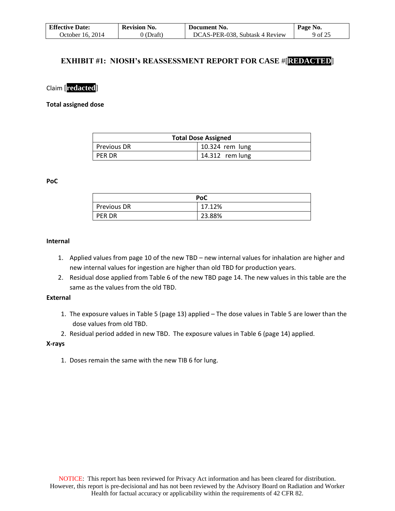| <b>Effective Date:</b> | <b>Revision No.</b> | Document No.                   | Page No. |
|------------------------|---------------------|--------------------------------|----------|
| October 16, 2014       | 0 (Draft)           | DCAS-PER-038, Subtask 4 Review | 9 of 25  |

### **EXHIBIT #1: NIOSH's REASSESSMENT REPORT FOR CASE** #[**REDACTED**]

Claim [**redacted**]

**Total assigned dose** 

| <b>Total Dose Assigned</b> |                 |  |
|----------------------------|-----------------|--|
| Previous DR                | 10.324 rem lung |  |
| PER DR                     | 14.312 rem lung |  |

**PoC**

|                    | PoC    |
|--------------------|--------|
| <b>Previous DR</b> | 17.12% |
| <b>PER DR</b>      | 23.88% |

### **Internal**

- 1. Applied values from page 10 of the new TBD new internal values for inhalation are higher and new internal values for ingestion are higher than old TBD for production years.
- 2. Residual dose applied from Table 6 of the new TBD page 14. The new values in this table are the same as the values from the old TBD.

#### **External**

- 1. The exposure values in Table 5 (page 13) applied The dose values in Table 5 are lower than the dose values from old TBD.
- 2. Residual period added in new TBD. The exposure values in Table 6 (page 14) applied.

#### **X-rays**

1. Doses remain the same with the new TIB 6 for lung.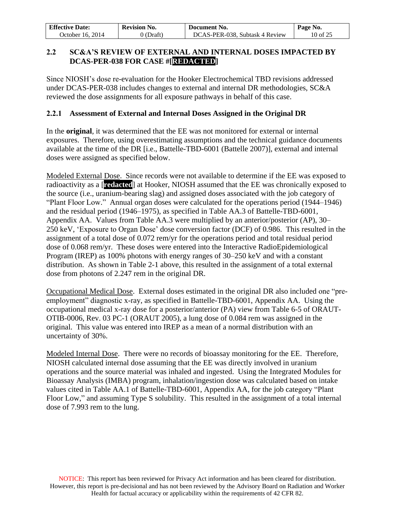| <b>Effective Date:</b> | <b>Revision No.</b> | Document No.                   | Page No. |
|------------------------|---------------------|--------------------------------|----------|
| October 16, 2014       | 0 (Draft)           | DCAS-PER-038, Subtask 4 Review | 10 of 25 |

## **2.2 SC&A'S REVIEW OF EXTERNAL AND INTERNAL DOSES IMPACTED BY DCAS-PER-038 FOR CASE #[REDACTED]**

Since NIOSH's dose re-evaluation for the Hooker Electrochemical TBD revisions addressed under DCAS-PER-038 includes changes to external and internal DR methodologies, SC&A reviewed the dose assignments for all exposure pathways in behalf of this case.

### **2.2.1 Assessment of External and Internal Doses Assigned in the Original DR**

In the **original**, it was determined that the EE was not monitored for external or internal exposures. Therefore, using overestimating assumptions and the technical guidance documents available at the time of the DR [i.e., Battelle-TBD-6001 (Battelle 2007)], external and internal doses were assigned as specified below.

Modeled External Dose. Since records were not available to determine if the EE was exposed to radioactivity as a [**redacted**] at Hooker, NIOSH assumed that the EE was chronically exposed to the source (i.e., uranium-bearing slag) and assigned doses associated with the job category of "Plant Floor Low." Annual organ doses were calculated for the operations period (1944–1946) and the residual period (1946–1975), as specified in Table AA.3 of Battelle-TBD-6001, Appendix AA. Values from Table AA.3 were multiplied by an anterior/posterior (AP), 30– 250 keV, 'Exposure to Organ Dose' dose conversion factor (DCF) of 0.986. This resulted in the assignment of a total dose of 0.072 rem/yr for the operations period and total residual period dose of 0.068 rem/yr. These doses were entered into the Interactive RadioEpidemiological Program (IREP) as 100% photons with energy ranges of 30–250 keV and with a constant distribution. As shown in Table 2-1 above, this resulted in the assignment of a total external dose from photons of 2.247 rem in the original DR.

Occupational Medical Dose. External doses estimated in the original DR also included one "preemployment" diagnostic x-ray, as specified in Battelle-TBD-6001, Appendix AA. Using the occupational medical x-ray dose for a posterior/anterior (PA) view from Table 6-5 of ORAUT-OTIB-0006, Rev. 03 PC-1 (ORAUT 2005), a lung dose of 0.084 rem was assigned in the original. This value was entered into IREP as a mean of a normal distribution with an uncertainty of 30%.

Modeled Internal Dose. There were no records of bioassay monitoring for the EE. Therefore, NIOSH calculated internal dose assuming that the EE was directly involved in uranium operations and the source material was inhaled and ingested. Using the Integrated Modules for Bioassay Analysis (IMBA) program, inhalation/ingestion dose was calculated based on intake values cited in Table AA.1 of Battelle-TBD-6001, Appendix AA, for the job category "Plant Floor Low," and assuming Type S solubility. This resulted in the assignment of a total internal dose of 7.993 rem to the lung.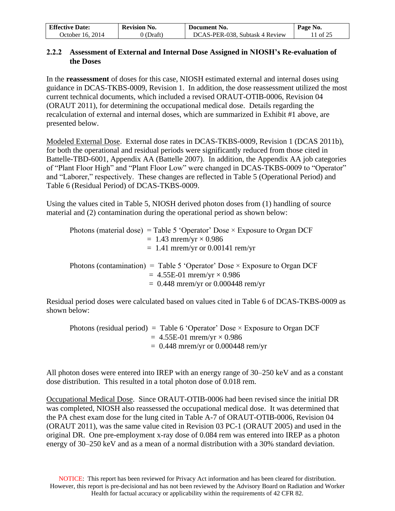| <b>Effective Date:</b> | <b>Revision No.</b> | Document No.                   | Page No. |
|------------------------|---------------------|--------------------------------|----------|
| 2014<br>Jctober<br>16. | , Draft'            | DCAS-PER-038, Subtask 4 Review | of $25$  |

### **2.2.2 Assessment of External and Internal Dose Assigned in NIOSH's Re-evaluation of the Doses**

In the **reassessment** of doses for this case, NIOSH estimated external and internal doses using guidance in DCAS-TKBS-0009, Revision 1. In addition, the dose reassessment utilized the most current technical documents, which included a revised ORAUT-OTIB-0006, Revision 04 (ORAUT 2011), for determining the occupational medical dose. Details regarding the recalculation of external and internal doses, which are summarized in Exhibit #1 above, are presented below.

Modeled External Dose. External dose rates in DCAS-TKBS-0009, Revision 1 (DCAS 2011b), for both the operational and residual periods were significantly reduced from those cited in Battelle-TBD-6001, Appendix AA (Battelle 2007). In addition, the Appendix AA job categories of "Plant Floor High" and "Plant Floor Low" were changed in DCAS-TKBS-0009 to "Operator" and "Laborer," respectively. These changes are reflected in Table 5 (Operational Period) and Table 6 (Residual Period) of DCAS-TKBS-0009.

Using the values cited in Table 5, NIOSH derived photon doses from (1) handling of source material and (2) contamination during the operational period as shown below:

| Photons (material dose) = Table 5 'Operator' Dose $\times$ Exposure to Organ DCF |
|----------------------------------------------------------------------------------|
| $= 1.43$ mrem/yr $\times$ 0.986                                                  |
| $= 1.41$ mrem/yr or 0.00141 rem/yr                                               |
|                                                                                  |
| Photons (contamination) = Table 5 'Operator' Dose $\times$ Exposure to Organ DCF |
| $= 4.55E-01$ mrem/yr $\times 0.986$                                              |
| $= 0.448$ mrem/yr or 0.000448 rem/yr                                             |

Residual period doses were calculated based on values cited in Table 6 of DCAS-TKBS-0009 as shown below:

Photons (residual period) = Table 6 'Operator' Dose  $\times$  Exposure to Organ DCF  $= 4.55E-01$  mrem/yr  $\times 0.986$  $= 0.448$  mrem/yr or 0.000448 rem/yr

All photon doses were entered into IREP with an energy range of 30–250 keV and as a constant dose distribution. This resulted in a total photon dose of 0.018 rem.

Occupational Medical Dose. Since ORAUT-OTIB-0006 had been revised since the initial DR was completed, NIOSH also reassessed the occupational medical dose. It was determined that the PA chest exam dose for the lung cited in Table A-7 of ORAUT-OTIB-0006, Revision 04 (ORAUT 2011), was the same value cited in Revision 03 PC-1 (ORAUT 2005) and used in the original DR. One pre-employment x-ray dose of 0.084 rem was entered into IREP as a photon energy of 30–250 keV and as a mean of a normal distribution with a 30% standard deviation.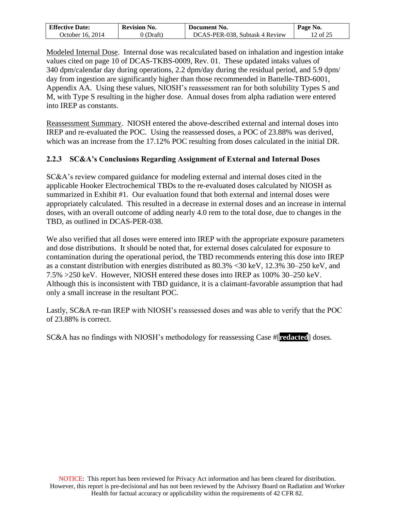| <b>Effective Date:</b>           | <b>Revision No.</b> | Document No.                   | Page No. |
|----------------------------------|---------------------|--------------------------------|----------|
| 2014<br>)ctober<br>$\cdot$ 16. . | Draft`              | DCAS-PER-038, Subtask 4 Review | 12 of 25 |

Modeled Internal Dose. Internal dose was recalculated based on inhalation and ingestion intake values cited on page 10 of DCAS-TKBS-0009, Rev. 01. These updated intaks values of 340 dpm/calendar day during operations, 2.2 dpm/day during the residual period, and 5.9 dpm/ day from ingestion are significantly higher than those recommended in Battelle-TBD-6001, Appendix AA. Using these values, NIOSH's reassessment ran for both solubility Types S and M, with Type S resulting in the higher dose. Annual doses from alpha radiation were entered into IREP as constants.

Reassessment Summary. NIOSH entered the above-described external and internal doses into IREP and re-evaluated the POC. Using the reassessed doses, a POC of 23.88% was derived, which was an increase from the 17.12% POC resulting from doses calculated in the initial DR.

## **2.2.3 SC&A's Conclusions Regarding Assignment of External and Internal Doses**

SC&A's review compared guidance for modeling external and internal doses cited in the applicable Hooker Electrochemical TBDs to the re-evaluated doses calculated by NIOSH as summarized in Exhibit #1. Our evaluation found that both external and internal doses were appropriately calculated. This resulted in a decrease in external doses and an increase in internal doses, with an overall outcome of adding nearly 4.0 rem to the total dose, due to changes in the TBD, as outlined in DCAS-PER-038.

We also verified that all doses were entered into IREP with the appropriate exposure parameters and dose distributions. It should be noted that, for external doses calculated for exposure to contamination during the operational period, the TBD recommends entering this dose into IREP as a constant distribution with energies distributed as 80.3% <30 keV, 12.3% 30–250 keV, and 7.5% >250 keV. However, NIOSH entered these doses into IREP as 100% 30–250 keV. Although this is inconsistent with TBD guidance, it is a claimant-favorable assumption that had only a small increase in the resultant POC.

Lastly, SC&A re-ran IREP with NIOSH's reassessed doses and was able to verify that the POC of 23.88% is correct.

SC&A has no findings with NIOSH's methodology for reassessing Case #[**redacted**] doses.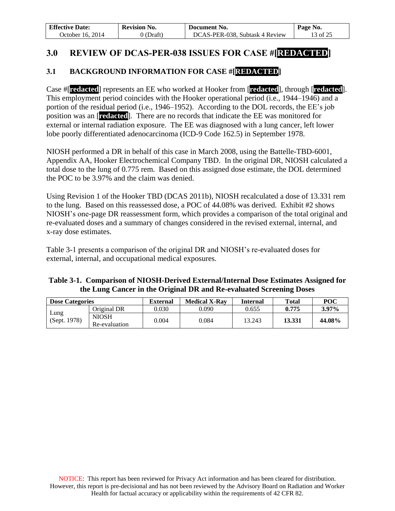| <b>Effective Date:</b> | <b>Revision No.</b> | Document No.                   | Page No. |
|------------------------|---------------------|--------------------------------|----------|
| October 16. 2014       | 0 (Draft)           | DCAS-PER-038, Subtask 4 Review | 13 of 25 |

# **3.0 REVIEW OF DCAS-PER-038 ISSUES FOR CASE #[REDACTED]**

## **3.1 BACKGROUND INFORMATION FOR CASE #[REDACTED]**

Case #[**redacted**] represents an EE who worked at Hooker from [**redacted**], through [**redacted**]. This employment period coincides with the Hooker operational period (i.e., 1944–1946) and a portion of the residual period (i.e., 1946–1952). According to the DOL records, the EE's job position was an [**redacted**]. There are no records that indicate the EE was monitored for external or internal radiation exposure. The EE was diagnosed with a lung cancer, left lower lobe poorly differentiated adenocarcinoma (ICD-9 Code 162.5) in September 1978.

NIOSH performed a DR in behalf of this case in March 2008, using the Battelle-TBD-6001, Appendix AA, Hooker Electrochemical Company TBD. In the original DR, NIOSH calculated a total dose to the lung of 0.775 rem. Based on this assigned dose estimate, the DOL determined the POC to be 3.97% and the claim was denied.

Using Revision 1 of the Hooker TBD (DCAS 2011b), NIOSH recalculated a dose of 13.331 rem to the lung. Based on this reassessed dose, a POC of 44.08% was derived. Exhibit #2 shows NIOSH's one-page DR reassessment form, which provides a comparison of the total original and re-evaluated doses and a summary of changes considered in the revised external, internal, and x-ray dose estimates.

Table 3-1 presents a comparison of the original DR and NIOSH's re-evaluated doses for external, internal, and occupational medical exposures.

### **Table 3-1. Comparison of NIOSH-Derived External/Internal Dose Estimates Assigned for the Lung Cancer in the Original DR and Re-evaluated Screening Doses**

| <b>Dose Categories</b> |                               | External | <b>Medical X-Rav</b> | Internal | <b>Total</b> | POC    |
|------------------------|-------------------------------|----------|----------------------|----------|--------------|--------|
|                        | Original DR                   | 0.030    | 9.090                | 0.655    | 0.775        | 3.97%  |
| Lung<br>(Sept. 1978)   | <b>NIOSH</b><br>Re-evaluation | 0.004    | 9.084                | 13.243   | 13.331       | 44.08% |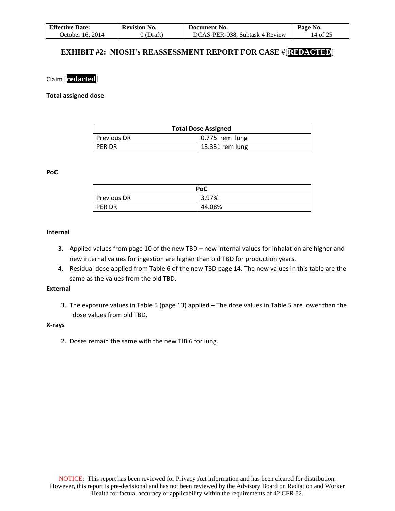| <b>Effective Date:</b> | <b>Revision No.</b> | Document No.                   | Page No. |
|------------------------|---------------------|--------------------------------|----------|
| October 16. 2014       | 0 (Draft)           | DCAS-PER-038, Subtask 4 Review | 14 of 25 |

### **EXHIBIT #2: NIOSH's REASSESSMENT REPORT FOR CASE** #[**REDACTED**]

### Claim [**redacted**]

#### **Total assigned dose**

| <b>Total Dose Assigned</b> |                        |  |
|----------------------------|------------------------|--|
| Previous DR                | $\vert$ 0.775 rem lung |  |
| PER DR                     | 13.331 rem lung        |  |

#### **PoC**

|               | PoC    |
|---------------|--------|
| Previous DR   | 3.97%  |
| <b>PER DR</b> | 44.08% |

#### **Internal**

- 3. Applied values from page 10 of the new TBD new internal values for inhalation are higher and new internal values for ingestion are higher than old TBD for production years.
- 4. Residual dose applied from Table 6 of the new TBD page 14. The new values in this table are the same as the values from the old TBD.

### **External**

3. The exposure values in Table 5 (page 13) applied – The dose values in Table 5 are lower than the dose values from old TBD.

#### **X-rays**

2. Doses remain the same with the new TIB 6 for lung.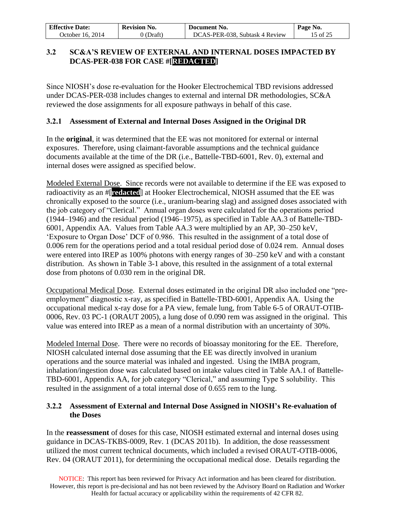| <b>Effective Date:</b> | <b>Revision No.</b> | Document No.                   | Page No. |
|------------------------|---------------------|--------------------------------|----------|
| October 16. 2014       | 0 (Draft)           | DCAS-PER-038, Subtask 4 Review | 15 of 25 |

## **3.2 SC&A'S REVIEW OF EXTERNAL AND INTERNAL DOSES IMPACTED BY DCAS-PER-038 FOR CASE #[REDACTED]**

Since NIOSH's dose re-evaluation for the Hooker Electrochemical TBD revisions addressed under DCAS-PER-038 includes changes to external and internal DR methodologies, SC&A reviewed the dose assignments for all exposure pathways in behalf of this case.

### **3.2.1 Assessment of External and Internal Doses Assigned in the Original DR**

In the **original**, it was determined that the EE was not monitored for external or internal exposures. Therefore, using claimant-favorable assumptions and the technical guidance documents available at the time of the DR (i.e., Battelle-TBD-6001, Rev. 0), external and internal doses were assigned as specified below.

Modeled External Dose. Since records were not available to determine if the EE was exposed to radioactivity as an #[**redacted**] at Hooker Electrochemical, NIOSH assumed that the EE was chronically exposed to the source (i.e., uranium-bearing slag) and assigned doses associated with the job category of "Clerical." Annual organ doses were calculated for the operations period (1944–1946) and the residual period (1946–1975), as specified in Table AA.3 of Battelle-TBD-6001, Appendix AA. Values from Table AA.3 were multiplied by an AP, 30–250 keV, 'Exposure to Organ Dose' DCF of 0.986. This resulted in the assignment of a total dose of 0.006 rem for the operations period and a total residual period dose of 0.024 rem. Annual doses were entered into IREP as 100% photons with energy ranges of 30–250 keV and with a constant distribution. As shown in Table 3-1 above, this resulted in the assignment of a total external dose from photons of 0.030 rem in the original DR.

Occupational Medical Dose. External doses estimated in the original DR also included one "preemployment" diagnostic x-ray, as specified in Battelle-TBD-6001, Appendix AA. Using the occupational medical x-ray dose for a PA view, female lung, from Table 6-5 of ORAUT-OTIB-0006, Rev. 03 PC-1 (ORAUT 2005), a lung dose of 0.090 rem was assigned in the original. This value was entered into IREP as a mean of a normal distribution with an uncertainty of 30%.

Modeled Internal Dose. There were no records of bioassay monitoring for the EE. Therefore, NIOSH calculated internal dose assuming that the EE was directly involved in uranium operations and the source material was inhaled and ingested. Using the IMBA program, inhalation/ingestion dose was calculated based on intake values cited in Table AA.1 of Battelle-TBD-6001, Appendix AA, for job category "Clerical," and assuming Type S solubility. This resulted in the assignment of a total internal dose of 0.655 rem to the lung.

### **3.2.2 Assessment of External and Internal Dose Assigned in NIOSH's Re-evaluation of the Doses**

In the **reassessment** of doses for this case, NIOSH estimated external and internal doses using guidance in DCAS-TKBS-0009, Rev. 1 (DCAS 2011b). In addition, the dose reassessment utilized the most current technical documents, which included a revised ORAUT-OTIB-0006, Rev. 04 (ORAUT 2011), for determining the occupational medical dose. Details regarding the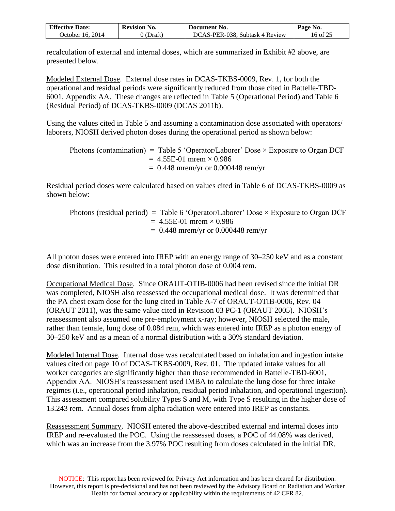| <b>Effective Date:</b>  | <b>Revision No.</b> | Document No.                   | No.<br>rage     |
|-------------------------|---------------------|--------------------------------|-----------------|
| 2014<br>Jctober.<br>16. | Draft`              | DCAS-PER-038, Subtask 4 Review | ء ∩ ع.<br>.6 of |

recalculation of external and internal doses, which are summarized in Exhibit #2 above, are presented below.

Modeled External Dose. External dose rates in DCAS-TKBS-0009, Rev. 1, for both the operational and residual periods were significantly reduced from those cited in Battelle-TBD-6001, Appendix AA. These changes are reflected in Table 5 (Operational Period) and Table 6 (Residual Period) of DCAS-TKBS-0009 (DCAS 2011b).

Using the values cited in Table 5 and assuming a contamination dose associated with operators/ laborers, NIOSH derived photon doses during the operational period as shown below:

Photons (contamination) = Table 5 'Operator/Laborer' Dose  $\times$  Exposure to Organ DCF  $= 4.55E-01$  mrem  $\times 0.986$  $= 0.448$  mrem/yr or 0.000448 rem/yr

Residual period doses were calculated based on values cited in Table 6 of DCAS-TKBS-0009 as shown below:

Photons (residual period) = Table 6 'Operator/Laborer' Dose  $\times$  Exposure to Organ DCF  $= 4.55E-01$  mrem  $\times 0.986$  $= 0.448$  mrem/yr or 0.000448 rem/yr

All photon doses were entered into IREP with an energy range of 30–250 keV and as a constant dose distribution. This resulted in a total photon dose of 0.004 rem.

Occupational Medical Dose. Since ORAUT-OTIB-0006 had been revised since the initial DR was completed, NIOSH also reassessed the occupational medical dose. It was determined that the PA chest exam dose for the lung cited in Table A-7 of ORAUT-OTIB-0006, Rev. 04 (ORAUT 2011), was the same value cited in Revision 03 PC-1 (ORAUT 2005). NIOSH's reassessment also assumed one pre-employment x-ray; however, NIOSH selected the male, rather than female, lung dose of 0.084 rem, which was entered into IREP as a photon energy of 30–250 keV and as a mean of a normal distribution with a 30% standard deviation.

Modeled Internal Dose. Internal dose was recalculated based on inhalation and ingestion intake values cited on page 10 of DCAS-TKBS-0009, Rev. 01. The updated intake values for all worker categories are significantly higher than those recommended in Battelle-TBD-6001, Appendix AA. NIOSH's reassessment used IMBA to calculate the lung dose for three intake regimes (i.e., operational period inhalation, residual period inhalation, and operational ingestion). This assessment compared solubility Types S and M, with Type S resulting in the higher dose of 13.243 rem. Annual doses from alpha radiation were entered into IREP as constants.

Reassessment Summary. NIOSH entered the above-described external and internal doses into IREP and re-evaluated the POC. Using the reassessed doses, a POC of 44.08% was derived, which was an increase from the 3.97% POC resulting from doses calculated in the initial DR.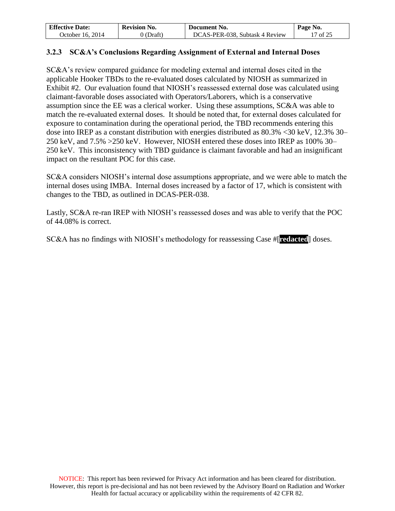| <b>Effective Date:</b> | <b>Revision No.</b> | Document No.                   | Page No. |
|------------------------|---------------------|--------------------------------|----------|
| October 16, 2014       | 0 (Draft)           | DCAS-PER-038, Subtask 4 Review | 17 of 25 |

### **3.2.3 SC&A's Conclusions Regarding Assignment of External and Internal Doses**

SC&A's review compared guidance for modeling external and internal doses cited in the applicable Hooker TBDs to the re-evaluated doses calculated by NIOSH as summarized in Exhibit #2. Our evaluation found that NIOSH's reassessed external dose was calculated using claimant-favorable doses associated with Operators/Laborers, which is a conservative assumption since the EE was a clerical worker. Using these assumptions, SC&A was able to match the re-evaluated external doses. It should be noted that, for external doses calculated for exposure to contamination during the operational period, the TBD recommends entering this dose into IREP as a constant distribution with energies distributed as 80.3% <30 keV, 12.3% 30– 250 keV, and 7.5% >250 keV. However, NIOSH entered these doses into IREP as 100% 30– 250 keV. This inconsistency with TBD guidance is claimant favorable and had an insignificant impact on the resultant POC for this case.

SC&A considers NIOSH's internal dose assumptions appropriate, and we were able to match the internal doses using IMBA. Internal doses increased by a factor of 17, which is consistent with changes to the TBD, as outlined in DCAS-PER-038.

Lastly, SC&A re-ran IREP with NIOSH's reassessed doses and was able to verify that the POC of 44.08% is correct.

SC&A has no findings with NIOSH's methodology for reassessing Case #[**redacted**] doses.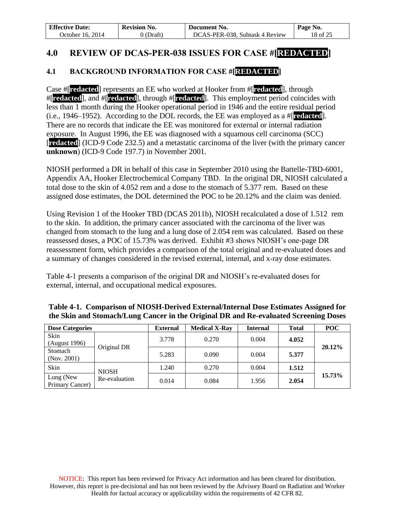| <b>Effective Date:</b> | <b>Revision No.</b> | Document No.                   | Page No. |
|------------------------|---------------------|--------------------------------|----------|
| October 16. 2014       | () (Draft)          | DCAS-PER-038, Subtask 4 Review | 18 of 25 |

# **4.0 REVIEW OF DCAS-PER-038 ISSUES FOR CASE #[REDACTED]**

## **4.1 BACKGROUND INFORMATION FOR CASE #[REDACTED]**

Case #[**redacted**] represents an EE who worked at Hooker from #[**redacted**], through #[**redacted**], and #[**redacted**], through #[**redacted**]. This employment period coincides with less than 1 month during the Hooker operational period in 1946 and the entire residual period (i.e., 1946–1952). According to the DOL records, the EE was employed as a #[**redacted**]. There are no records that indicate the EE was monitored for external or internal radiation exposure. In August 1996, the EE was diagnosed with a squamous cell carcinoma (SCC) [**redacted**] (ICD-9 Code 232.5) and a metastatic carcinoma of the liver (with the primary cancer **unknown**) (ICD-9 Code 197.7) in November 2001.

NIOSH performed a DR in behalf of this case in September 2010 using the Battelle-TBD-6001, Appendix AA, Hooker Electrochemical Company TBD. In the original DR, NIOSH calculated a total dose to the skin of 4.052 rem and a dose to the stomach of 5.377 rem. Based on these assigned dose estimates, the DOL determined the POC to be 20.12% and the claim was denied.

Using Revision 1 of the Hooker TBD (DCAS 2011b), NIOSH recalculated a dose of 1.512 rem to the skin. In addition, the primary cancer associated with the carcinoma of the liver was changed from stomach to the lung and a lung dose of 2.054 rem was calculated. Based on these reassessed doses, a POC of 15.73% was derived. Exhibit #3 shows NIOSH's one-page DR reassessment form, which provides a comparison of the total original and re-evaluated doses and a summary of changes considered in the revised external, internal, and x-ray dose estimates.

Table 4-1 presents a comparison of the original DR and NIOSH's re-evaluated doses for external, internal, and occupational medical exposures.

| <b>Dose Categories</b>       |               | <b>External</b> | <b>Medical X-Ray</b> | <b>Internal</b> | <b>Total</b> | <b>POC</b> |
|------------------------------|---------------|-----------------|----------------------|-----------------|--------------|------------|
| Skin<br>(August 1996)        |               | 3.778           | 0.270                | 0.004           | 4.052        | 20.12%     |
| Stomach<br>(Nov. 2001)       | Original DR   | 5.283           | 0.090                | 0.004           | 5.377        |            |
| Skin                         | <b>NIOSH</b>  | 1.240           | 0.270                | 0.004           | 1.512        |            |
| Lung (New<br>Primary Cancer) | Re-evaluation | 0.014           | 0.084                | 1.956           | 2.054        | 15.73%     |

### **Table 4-1. Comparison of NIOSH-Derived External/Internal Dose Estimates Assigned for the Skin and Stomach/Lung Cancer in the Original DR and Re-evaluated Screening Doses**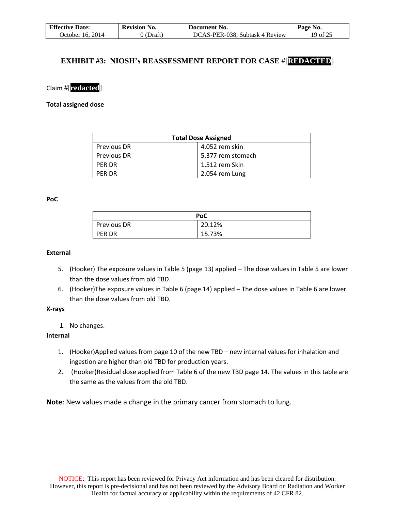| <b>Effective Date:</b> | <b>Revision No.</b> | Document No.                   | Page No. |
|------------------------|---------------------|--------------------------------|----------|
| October 16, 2014       | 0 (Draft)           | DCAS-PER-038, Subtask 4 Review | 19 of 25 |

### **EXHIBIT #3: NIOSH's REASSESSMENT REPORT FOR CASE** #[**REDACTED**]

### Claim #[**redacted**]

### **Total assigned dose**

| <b>Total Dose Assigned</b> |                   |  |
|----------------------------|-------------------|--|
| <b>Previous DR</b>         | 4.052 rem skin    |  |
| <b>Previous DR</b>         | 5.377 rem stomach |  |
| <b>PFR DR</b>              | 1.512 rem Skin    |  |
| <b>PFR DR</b>              | 2.054 rem Lung    |  |

#### **PoC**

|                    | PoC    |
|--------------------|--------|
| <b>Previous DR</b> | 20.12% |
| <b>PER DR</b>      | 15.73% |

#### **External**

- 5. (Hooker) The exposure values in Table 5 (page 13) applied The dose values in Table 5 are lower than the dose values from old TBD.
- 6. (Hooker)The exposure values in Table 6 (page 14) applied The dose values in Table 6 are lower than the dose values from old TBD.

### **X-rays**

1. No changes.

### **Internal**

- 1. (Hooker)Applied values from page 10 of the new TBD new internal values for inhalation and ingestion are higher than old TBD for production years.
- 2. (Hooker)Residual dose applied from Table 6 of the new TBD page 14. The values in this table are the same as the values from the old TBD.

**Note**: New values made a change in the primary cancer from stomach to lung.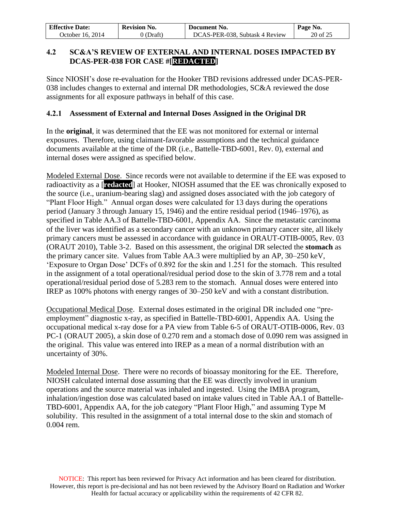| <b>Effective Date:</b> | <b>Revision No.</b> | Document No.                   | Page No. |
|------------------------|---------------------|--------------------------------|----------|
| October 16. 2014       | 0 (Draft)           | DCAS-PER-038, Subtask 4 Review | 20 of 25 |

## **4.2 SC&A'S REVIEW OF EXTERNAL AND INTERNAL DOSES IMPACTED BY DCAS-PER-038 FOR CASE #[REDACTED]**

Since NIOSH's dose re-evaluation for the Hooker TBD revisions addressed under DCAS-PER-038 includes changes to external and internal DR methodologies, SC&A reviewed the dose assignments for all exposure pathways in behalf of this case.

### **4.2.1 Assessment of External and Internal Doses Assigned in the Original DR**

In the **original**, it was determined that the EE was not monitored for external or internal exposures. Therefore, using claimant-favorable assumptions and the technical guidance documents available at the time of the DR (i.e., Battelle-TBD-6001, Rev. 0), external and internal doses were assigned as specified below.

Modeled External Dose. Since records were not available to determine if the EE was exposed to radioactivity as a [**redacted**] at Hooker, NIOSH assumed that the EE was chronically exposed to the source (i.e., uranium-bearing slag) and assigned doses associated with the job category of "Plant Floor High." Annual organ doses were calculated for 13 days during the operations period (January 3 through January 15, 1946) and the entire residual period (1946–1976), as specified in Table AA.3 of Battelle-TBD-6001, Appendix AA. Since the metastatic carcinoma of the liver was identified as a secondary cancer with an unknown primary cancer site, all likely primary cancers must be assessed in accordance with guidance in ORAUT-OTIB-0005, Rev. 03 (ORAUT 2010), Table 3-2. Based on this assessment, the original DR selected the **stomach** as the primary cancer site. Values from Table AA.3 were multiplied by an AP, 30–250 keV, 'Exposure to Organ Dose' DCFs of 0.892 for the skin and 1.251 for the stomach. This resulted in the assignment of a total operational/residual period dose to the skin of 3.778 rem and a total operational/residual period dose of 5.283 rem to the stomach. Annual doses were entered into IREP as 100% photons with energy ranges of 30–250 keV and with a constant distribution.

Occupational Medical Dose. External doses estimated in the original DR included one "preemployment" diagnostic x-ray, as specified in Battelle-TBD-6001, Appendix AA. Using the occupational medical x-ray dose for a PA view from Table 6-5 of ORAUT-OTIB-0006, Rev. 03 PC-1 (ORAUT 2005), a skin dose of 0.270 rem and a stomach dose of 0.090 rem was assigned in the original. This value was entered into IREP as a mean of a normal distribution with an uncertainty of 30%.

Modeled Internal Dose. There were no records of bioassay monitoring for the EE. Therefore, NIOSH calculated internal dose assuming that the EE was directly involved in uranium operations and the source material was inhaled and ingested. Using the IMBA program, inhalation/ingestion dose was calculated based on intake values cited in Table AA.1 of Battelle-TBD-6001, Appendix AA, for the job category "Plant Floor High," and assuming Type M solubility. This resulted in the assignment of a total internal dose to the skin and stomach of 0.004 rem.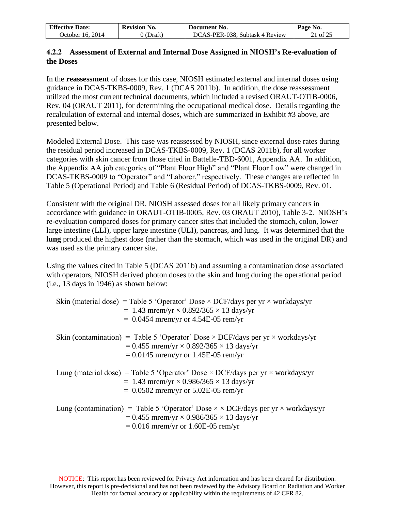| <b>Effective Date:</b> | <b>Revision No.</b> | Document No.                   | Page No. |
|------------------------|---------------------|--------------------------------|----------|
| October 16. 2014       | ) (Draft)           | DCAS-PER-038, Subtask 4 Review | 21 of 25 |

### **4.2.2 Assessment of External and Internal Dose Assigned in NIOSH's Re-evaluation of the Doses**

In the **reassessment** of doses for this case, NIOSH estimated external and internal doses using guidance in DCAS-TKBS-0009, Rev. 1 (DCAS 2011b). In addition, the dose reassessment utilized the most current technical documents, which included a revised ORAUT-OTIB-0006, Rev. 04 (ORAUT 2011), for determining the occupational medical dose. Details regarding the recalculation of external and internal doses, which are summarized in Exhibit #3 above, are presented below.

Modeled External Dose. This case was reassessed by NIOSH, since external dose rates during the residual period increased in DCAS-TKBS-0009, Rev. 1 (DCAS 2011b), for all worker categories with skin cancer from those cited in Battelle-TBD-6001, Appendix AA. In addition, the Appendix AA job categories of "Plant Floor High" and "Plant Floor Low" were changed in DCAS-TKBS-0009 to "Operator" and "Laborer," respectively. These changes are reflected in Table 5 (Operational Period) and Table 6 (Residual Period) of DCAS-TKBS-0009, Rev. 01.

Consistent with the original DR, NIOSH assessed doses for all likely primary cancers in accordance with guidance in ORAUT-OTIB-0005, Rev. 03 ORAUT 2010), Table 3-2. NIOSH's re-evaluation compared doses for primary cancer sites that included the stomach, colon, lower large intestine (LLI), upper large intestine (ULI), pancreas, and lung. It was determined that the **lung** produced the highest dose (rather than the stomach, which was used in the original DR) and was used as the primary cancer site.

Using the values cited in Table 5 (DCAS 2011b) and assuming a contamination dose associated with operators, NIOSH derived photon doses to the skin and lung during the operational period (i.e., 13 days in 1946) as shown below:

| Skin (material dose) = Table 5 'Operator' Dose $\times$ DCF/days per yr $\times$ workdays/yr<br>= 1.43 mrem/yr $\times$ 0.892/365 $\times$ 13 days/yr                                                   |
|---------------------------------------------------------------------------------------------------------------------------------------------------------------------------------------------------------|
| $= 0.0454$ mrem/yr or 4.54E-05 rem/yr                                                                                                                                                                   |
| Skin (contamination) = Table 5 'Operator' Dose $\times$ DCF/days per yr $\times$ workdays/yr<br>$= 0.455$ mrem/yr $\times$ 0.892/365 $\times$ 13 days/yr<br>$= 0.0145$ mrem/yr or 1.45E-05 rem/yr       |
| Lung (material dose) = Table 5 'Operator' Dose $\times$ DCF/days per yr $\times$ workdays/yr<br>$= 1.43$ mrem/yr $\times$ 0.986/365 $\times$ 13 days/yr<br>$= 0.0502$ mrem/yr or 5.02E-05 rem/yr        |
| Lung (contamination) = Table 5 'Operator' Dose $\times \times$ DCF/days per yr $\times$ workdays/yr<br>$= 0.455$ mrem/yr $\times$ 0.986/365 $\times$ 13 days/yr<br>$= 0.016$ mrem/yr or 1.60E-05 rem/yr |

NOTICE: This report has been reviewed for Privacy Act information and has been cleared for distribution. However, this report is pre-decisional and has not been reviewed by the Advisory Board on Radiation and Worker Health for factual accuracy or applicability within the requirements of 42 CFR 82.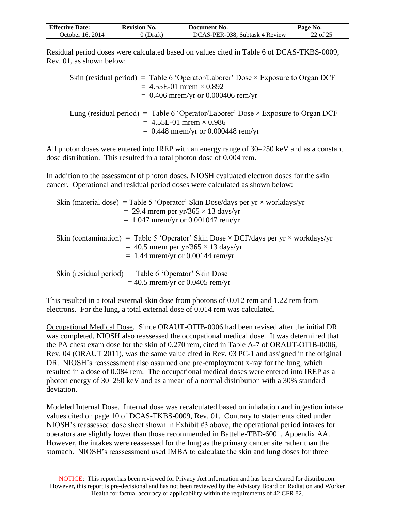| <b>Effective Date:</b> | <b>Revision No.</b> | Document No.                   | Page No. |
|------------------------|---------------------|--------------------------------|----------|
| October 16. 2014       | $(0)$ (Draft)       | DCAS-PER-038, Subtask 4 Review | 22 of 25 |

Residual period doses were calculated based on values cited in Table 6 of DCAS-TKBS-0009, Rev. 01, as shown below:

| Skin (residual period) = Table 6 'Operator/Laborer' Dose $\times$ Exposure to Organ DCF |
|-----------------------------------------------------------------------------------------|
| $= 4.55E-01$ mrem $\times 0.892$                                                        |
| $= 0.406$ mrem/yr or 0.000406 rem/yr                                                    |
|                                                                                         |
| Lung (residual period) = Table 6 'Operator/Laborer' Dose $\times$ Exposure to Organ DCF |
| $= 4.55E-01$ mrem $\times 0.986$                                                        |
| $= 0.448$ mrem/yr or 0.000448 rem/yr                                                    |

All photon doses were entered into IREP with an energy range of 30–250 keV and as a constant dose distribution. This resulted in a total photon dose of 0.004 rem.

In addition to the assessment of photon doses, NIOSH evaluated electron doses for the skin cancer. Operational and residual period doses were calculated as shown below:

|  | Skin (material dose) = Table 5 'Operator' Skin Dose/days per $yr \times$ workdays/yr<br>$= 29.4$ mrem per yr/365 $\times$ 13 days/yr<br>$= 1.047$ mrem/yr or 0.001047 rem/yr            |
|--|-----------------------------------------------------------------------------------------------------------------------------------------------------------------------------------------|
|  | Skin (contamination) = Table 5 'Operator' Skin Dose $\times$ DCF/days per yr $\times$ workdays/yr<br>$= 40.5$ mrem per yr/365 $\times$ 13 days/yr<br>$= 1.44$ mrem/yr or 0.00144 rem/yr |
|  | Skin (residual period) = Table 6 'Operator' Skin Dose<br>$=$ 40.5 mrem/yr or 0.0405 rem/yr                                                                                              |

This resulted in a total external skin dose from photons of 0.012 rem and 1.22 rem from electrons. For the lung, a total external dose of 0.014 rem was calculated.

Occupational Medical Dose. Since ORAUT-OTIB-0006 had been revised after the initial DR was completed, NIOSH also reassessed the occupational medical dose. It was determined that the PA chest exam dose for the skin of 0.270 rem, cited in Table A-7 of ORAUT-OTIB-0006, Rev. 04 (ORAUT 2011), was the same value cited in Rev. 03 PC-1 and assigned in the original DR. NIOSH's reassessment also assumed one pre-employment x-ray for the lung, which resulted in a dose of 0.084 rem. The occupational medical doses were entered into IREP as a photon energy of 30–250 keV and as a mean of a normal distribution with a 30% standard deviation.

Modeled Internal Dose. Internal dose was recalculated based on inhalation and ingestion intake values cited on page 10 of DCAS-TKBS-0009, Rev. 01. Contrary to statements cited under NIOSH's reassessed dose sheet shown in Exhibit #3 above, the operational period intakes for operators are slightly lower than those recommended in Battelle-TBD-6001, Appendix AA. However, the intakes were reassessed for the lung as the primary cancer site rather than the stomach. NIOSH's reassessment used IMBA to calculate the skin and lung doses for three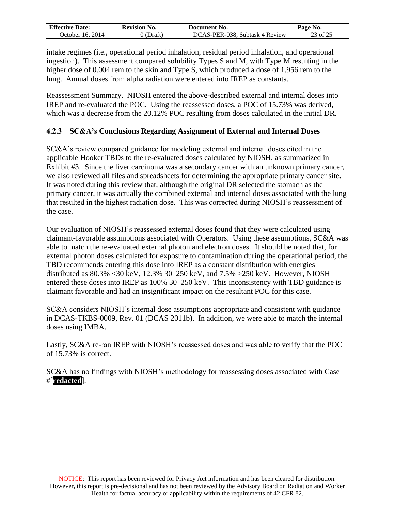| <b>Effective Date:</b>   | <b>Revision No.</b> | Document No.                   | Page No.            |
|--------------------------|---------------------|--------------------------------|---------------------|
| 2014<br>Jctober .<br>10. | Draft`              | DCAS-PER-038. Subtask 4 Review | $\angle 3$ of $2^5$ |

intake regimes (i.e., operational period inhalation, residual period inhalation, and operational ingestion). This assessment compared solubility Types S and M, with Type M resulting in the higher dose of 0.004 rem to the skin and Type S, which produced a dose of 1.956 rem to the lung. Annual doses from alpha radiation were entered into IREP as constants.

Reassessment Summary. NIOSH entered the above-described external and internal doses into IREP and re-evaluated the POC. Using the reassessed doses, a POC of 15.73% was derived, which was a decrease from the 20.12% POC resulting from doses calculated in the initial DR.

## **4.2.3 SC&A's Conclusions Regarding Assignment of External and Internal Doses**

SC&A's review compared guidance for modeling external and internal doses cited in the applicable Hooker TBDs to the re-evaluated doses calculated by NIOSH, as summarized in Exhibit #3. Since the liver carcinoma was a secondary cancer with an unknown primary cancer, we also reviewed all files and spreadsheets for determining the appropriate primary cancer site. It was noted during this review that, although the original DR selected the stomach as the primary cancer, it was actually the combined external and internal doses associated with the lung that resulted in the highest radiation dose. This was corrected during NIOSH's reassessment of the case.

Our evaluation of NIOSH's reassessed external doses found that they were calculated using claimant-favorable assumptions associated with Operators. Using these assumptions, SC&A was able to match the re-evaluated external photon and electron doses. It should be noted that, for external photon doses calculated for exposure to contamination during the operational period, the TBD recommends entering this dose into IREP as a constant distribution with energies distributed as 80.3% <30 keV, 12.3% 30–250 keV, and 7.5% >250 keV. However, NIOSH entered these doses into IREP as 100% 30–250 keV. This inconsistency with TBD guidance is claimant favorable and had an insignificant impact on the resultant POC for this case.

SC&A considers NIOSH's internal dose assumptions appropriate and consistent with guidance in DCAS-TKBS-0009, Rev. 01 (DCAS 2011b). In addition, we were able to match the internal doses using IMBA.

Lastly, SC&A re-ran IREP with NIOSH's reassessed doses and was able to verify that the POC of 15.73% is correct.

SC&A has no findings with NIOSH's methodology for reassessing doses associated with Case #[**redacted**].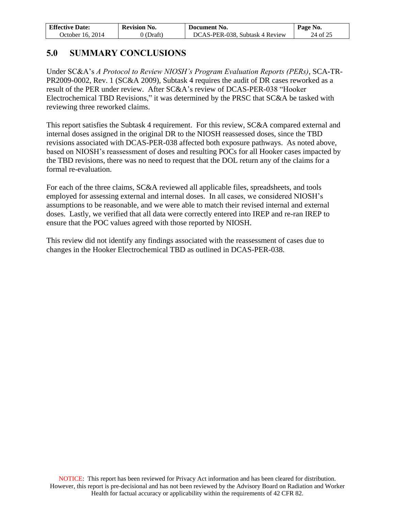| <b>Effective Date:</b> | <b>Revision No.</b> | Document No.                   | $\mathsf{Page No.}$ |
|------------------------|---------------------|--------------------------------|---------------------|
| October 16, 2014       | 0 (Draft)           | DCAS-PER-038, Subtask 4 Review | 24 of 25            |

# **5.0 SUMMARY CONCLUSIONS**

Under SC&A's *A Protocol to Review NIOSH's Program Evaluation Reports (PERs)*, SCA**-**TR-PR2009-0002, Rev. 1 (SC&A 2009), Subtask 4 requires the audit of DR cases reworked as a result of the PER under review. After SC&A's review of DCAS-PER-038 "Hooker Electrochemical TBD Revisions," it was determined by the PRSC that SC&A be tasked with reviewing three reworked claims.

This report satisfies the Subtask 4 requirement. For this review, SC&A compared external and internal doses assigned in the original DR to the NIOSH reassessed doses, since the TBD revisions associated with DCAS-PER-038 affected both exposure pathways. As noted above, based on NIOSH's reassessment of doses and resulting POCs for all Hooker cases impacted by the TBD revisions, there was no need to request that the DOL return any of the claims for a formal re-evaluation.

For each of the three claims, SC&A reviewed all applicable files, spreadsheets, and tools employed for assessing external and internal doses. In all cases, we considered NIOSH's assumptions to be reasonable, and we were able to match their revised internal and external doses. Lastly, we verified that all data were correctly entered into IREP and re-ran IREP to ensure that the POC values agreed with those reported by NIOSH.

This review did not identify any findings associated with the reassessment of cases due to changes in the Hooker Electrochemical TBD as outlined in DCAS-PER-038.